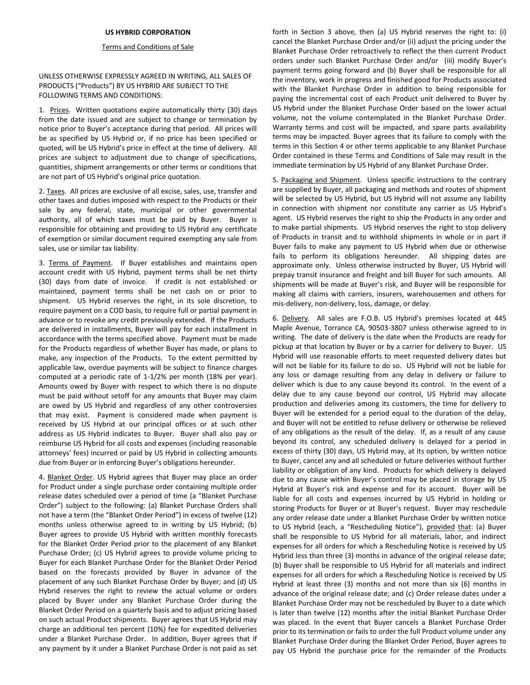## **US HYBRID CORPORATION**

## Terms and Conditions of Sale

UNLESS OTHERWISE EXPRESSLY AGREED IN WRITING, ALL SALES OF PRODUCTS ("Products") BY US HYBRID ARE SUBJECT TO THE FOLLOWING TERMS AND CONDITIONS:

1. Prices. Written quotations expire automatically thirty (30) days from the date issued and are subject to change or termination by notice prior to Buyer's acceptance during that period. All prices will be as specified by US Hybrid or, if no price has been specified or quoted, will be US Hybrid's price in effect at the time of delivery. All prices are subject to adjustment due to change of specifications, quantities, shipment arrangements or other terms or conditions that are not part of US Hybrid's original price quotation.

2. Taxes. All prices are exclusive of all excise, sales, use, transfer and other taxes and duties imposed with respect to the Products or their sale by any federal, state, municipal or other governmental authority, all of which taxes must be paid by Buyer. Buyer is responsible for obtaining and providing to US Hybrid any certificate of exemption or similar document required exempting any sale from sales, use or similar tax liability.

3. Terms of Payment. If Buyer establishes and maintains open account credit with US Hybrid, payment terms shall be net thirty (30) days from date of invoice. If credit is not established or maintained, payment terms shall be net cash on or prior to shipment. US Hybrid reserves the right, in its sole discretion, to require payment on a COD basis, to require full or partial payment in advance or to revoke any credit previously extended. If the Products are delivered in installments, Buyer will pay for each installment in accordance with the terms specified above. Payment must be made for the Products regardless of whether Buyer has made, or plans to make, any inspection of the Products. To the extent permitted by applicable law, overdue payments will be subject to finance charges computed at a periodic rate of 1-1/2% per month (18% per year). Amounts owed by Buyer with respect to which there is no dispute must be paid without setoff for any amounts that Buyer may claim are owed by US Hybrid and regardless of any other controversies that may exist. Payment is considered made when payment is received by US Hybrid at our principal offices or at such other address as US Hybrid indicates to Buyer. Buyer shall also pay or reimburse US Hybrid for all costs and expenses (including reasonable attorneys' fees) incurred or paid by US Hybrid in collecting amounts due from Buyer or in enforcing Buyer's obligations hereunder.

4. Blanket Order. US Hybrid agrees that Buyer may place an order for Product under a single purchase order containing multiple order release dates scheduled over a period of time (a "Blanket Purchase Order") subject to the following: (a) Blanket Purchase Orders shall not have a term (the "Blanket Order Period") in excess of twelve (12) months unless otherwise agreed to in writing by US Hybrid; (b) Buyer agrees to provide US Hybrid with written monthly forecasts for the Blanket Order Period prior to the placement of any Blanket Purchase Order; (c) US Hybrid agrees to provide volume pricing to Buyer for each Blanket Purchase Order for the Blanket Order Period based on the forecasts provided by Buyer in advance of the placement of any such Blanket Purchase Order by Buyer; and (d) US Hybrid reserves the right to review the actual volume or orders placed by Buyer under any Blanket Purchase Order during the Blanket Order Period on a quarterly basis and to adjust pricing based on such actual Product shipments. Buyer agrees that US Hybrid may charge an additional ten percent (10%) fee for expedited deliveries under a Blanket Purchase Order. In addition, Buyer agrees that if any payment by it under a Blanket Purchase Order is not paid as set

forth in Section 3 above, then (a) US Hybrid reserves the right to: (i) cancel the Blanket Purchase Order and/or (ii) adjust the pricing under the Blanket Purchase Order retroactively to reflect the then current Product orders under such Blanket Purchase Order and/or (iii) modify Buyer's payment terms going forward and (b) Buyer shall be responsible for all the inventory, work in progress and finished good for Products associated with the Blanket Purchase Order in addition to being responsible for paying the incremental cost of each Product unit delivered to Buyer by US Hybrid under the Blanket Purchase Order based on the lower actual volume, not the volume contemplated in the Blanket Purchase Order. Warranty terms and cost will be impacted, and spare parts availability terms may be impacted. Buyer agrees that its failure to comply with the terms in this Section 4 or other terms applicable to any Blanket Purchase Order contained in these Terms and Conditions of Sale may result in the immediate termination by US Hybrid of any Blanket Purchase Order.

5. Packaging and Shipment. Unless specific instructions to the contrary are supplied by Buyer, all packaging and methods and routes of shipment will be selected by US Hybrid, but US Hybrid will not assume any liability in connection with shipment nor constitute any carrier as US Hybrid's agent. US Hybrid reserves the right to ship the Products in any order and to make partial shipments. US Hybrid reserves the right to stop delivery of Products in transit and to withhold shipments in whole or in part if Buyer fails to make any payment to US Hybrid when due or otherwise fails to perform its obligations hereunder. All shipping dates are approximate only. Unless otherwise instructed by Buyer, US Hybrid will prepay transit insurance and freight and bill Buyer for such amounts. All shipments will be made at Buyer's risk, and Buyer will be responsible for making all claims with carriers, insurers, warehousemen and others for mis-delivery, non-delivery, loss, damage, or delay.

6. Delivery. All sales are F.O.B. US Hybrid's premises located at 445 Maple Avenue, Torrance CA, 90503-3807 unless otherwise agreed to in writing. The date of delivery is the date when the Products are ready for pickup at that location by Buyer or by a carrier for delivery to Buyer. US Hybrid will use reasonable efforts to meet requested delivery dates but will not be liable for its failure to do so. US Hybrid will not be liable for any loss or damage resulting from any delay in delivery or failure to deliver which is due to any cause beyond its control. In the event of a delay due to any cause beyond our control, US Hybrid may allocate production and deliveries among its customers, the time for delivery to Buyer will be extended for a period equal to the duration of the delay, and Buyer will not be entitled to refuse delivery or otherwise be relieved of any obligations as the result of the delay. If, as a result of any cause beyond its control, any scheduled delivery is delayed for a period in excess of thirty (30) days, US Hybrid may, at its option, by written notice to Buyer, cancel any and all scheduled or future deliveries without further liability or obligation of any kind. Products for which delivery is delayed due to any cause within Buyer's control may be placed in storage by US Hybrid at Buyer's risk and expense and for its account. Buyer will be liable for all costs and expenses incurred by US Hybrid in holding or storing Products for Buyer or at Buyer's request. Buyer may reschedule any order release date under a Blanket Purchase Order by written notice to US Hybrid (each, a "Rescheduling Notice"), provided that: (a) Buyer shall be responsible to US Hybrid for all materials, labor, and indirect expenses for all orders for which a Rescheduling Notice is received by US Hybrid less than three (3) months in advance of the original release date; (b) Buyer shall be responsible to US Hybrid for all materials and indirect expenses for all orders for which a Rescheduling Notice is received by US Hybrid at least three (3) months and not more than six (6) months in advance of the original release date; and (c) Order release dates under a Blanket Purchase Order may not be rescheduled by Buyer to a date which is later than twelve (12) months after the initial Blanket Purchase Order was placed. In the event that Buyer cancels a Blanket Purchase Order prior to its termination or fails to order the full Product volume under any Blanket Purchase Order during the Blanket Order Period, Buyer agrees to pay US Hybrid the purchase price for the remainder of the Products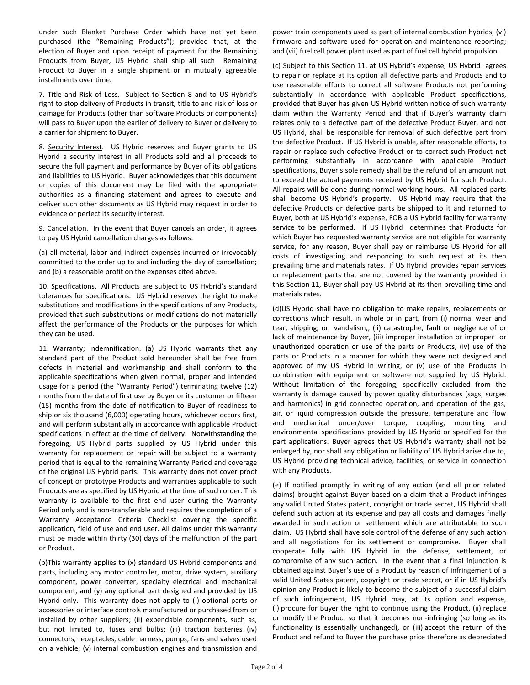under such Blanket Purchase Order which have not yet been purchased (the "Remaining Products"); provided that, at the election of Buyer and upon receipt of payment for the Remaining Products from Buyer, US Hybrid shall ship all such Remaining Product to Buyer in a single shipment or in mutually agreeable installments over time.

7. Title and Risk of Loss. Subject to Section 8 and to US Hybrid's right to stop delivery of Products in transit, title to and risk of loss or damage for Products (other than software Products or components) will pass to Buyer upon the earlier of delivery to Buyer or delivery to a carrier for shipment to Buyer.

8. Security Interest. US Hybrid reserves and Buyer grants to US Hybrid a security interest in all Products sold and all proceeds to secure the full payment and performance by Buyer of its obligations and liabilities to US Hybrid. Buyer acknowledges that this document or copies of this document may be filed with the appropriate authorities as a financing statement and agrees to execute and deliver such other documents as US Hybrid may request in order to evidence or perfect its security interest.

9. Cancellation. In the event that Buyer cancels an order, it agrees to pay US Hybrid cancellation charges as follows:

(a) all material, labor and indirect expenses incurred or irrevocably committed to the order up to and including the day of cancellation; and (b) a reasonable profit on the expenses cited above.

10. Specifications. All Products are subject to US Hybrid's standard tolerances for specifications. US Hybrid reserves the right to make substitutions and modifications in the specifications of any Products, provided that such substitutions or modifications do not materially affect the performance of the Products or the purposes for which they can be used.

11. Warranty; Indemnification. (a) US Hybrid warrants that any standard part of the Product sold hereunder shall be free from defects in material and workmanship and shall conform to the applicable specifications when given normal, proper and intended usage for a period (the "Warranty Period") terminating twelve (12) months from the date of first use by Buyer or its customer or fifteen (15) months from the date of notification to Buyer of readiness to ship or six thousand (6,000) operating hours, whichever occurs first, and will perform substantially in accordance with applicable Product specifications in effect at the time of delivery. Notwithstanding the foregoing, US Hybrid parts supplied by US Hybrid under this warranty for replacement or repair will be subject to a warranty period that is equal to the remaining Warranty Period and coverage of the original US Hybrid parts. This warranty does not cover proof of concept or prototype Products and warranties applicable to such Products are as specified by US Hybrid at the time of such order. This warranty is available to the first end user during the Warranty Period only and is non-transferable and requires the completion of a Warranty Acceptance Criteria Checklist covering the specific application, field of use and end user. All claims under this warranty must be made within thirty (30) days of the malfunction of the part or Product.

(b)This warranty applies to (x) standard US Hybrid components and parts, including any motor controller, motor, drive system, auxiliary component, power converter, specialty electrical and mechanical component, and (y) any optional part designed and provided by US Hybrid only. This warranty does not apply to (i) optional parts or accessories or interface controls manufactured or purchased from or installed by other suppliers; (ii) expendable components, such as, but not limited to, fuses and bulbs; (iii) traction batteries (iv) connectors, receptacles, cable harness, pumps, fans and valves used on a vehicle; (v) internal combustion engines and transmission and

power train components used as part of internal combustion hybrids; (vi) firmware and software used for operation and maintenance reporting; and (vii) fuel cell power plant used as part of fuel cell hybrid propulsion.

(c) Subject to this Section 11, at US Hybrid's expense, US Hybrid agrees to repair or replace at its option all defective parts and Products and to use reasonable efforts to correct all software Products not performing substantially in accordance with applicable Product specifications, provided that Buyer has given US Hybrid written notice of such warranty claim within the Warranty Period and that if Buyer's warranty claim relates only to a defective part of the defective Product Buyer, and not US Hybrid, shall be responsible for removal of such defective part from the defective Product. If US Hybrid is unable, after reasonable efforts, to repair or replace such defective Product or to correct such Product not performing substantially in accordance with applicable Product specifications, Buyer's sole remedy shall be the refund of an amount not to exceed the actual payments received by US Hybrid for such Product. All repairs will be done during normal working hours. All replaced parts shall become US Hybrid's property. US Hybrid may require that the defective Products or defective parts be shipped to it and returned to Buyer, both at US Hybrid's expense, FOB a US Hybrid facility for warranty service to be performed. If US Hybrid determines that Products for which Buyer has requested warranty service are not eligible for warranty service, for any reason, Buyer shall pay or reimburse US Hybrid for all costs of investigating and responding to such request at its then prevailing time and materials rates. If US Hybrid provides repair services or replacement parts that are not covered by the warranty provided in this Section 11, Buyer shall pay US Hybrid at its then prevailing time and materials rates.

(d)US Hybrid shall have no obligation to make repairs, replacements or corrections which result, in whole or in part, from (i) normal wear and tear, shipping, or vandalism,, (ii) catastrophe, fault or negligence of or lack of maintenance by Buyer, (iii) improper installation or improper or unauthorized operation or use of the parts or Products, (iv) use of the parts or Products in a manner for which they were not designed and approved of my US Hybrid in writing, or (v) use of the Products in combination with equipment or software not supplied by US Hybrid. Without limitation of the foregoing, specifically excluded from the warranty is damage caused by power quality disturbances (sags, surges and harmonics) in grid connected operation, and operation of the gas, air, or liquid compression outside the pressure, temperature and flow and mechanical under/over torque, coupling, mounting and environmental specifications provided by US Hybrid or specified for the part applications. Buyer agrees that US Hybrid's warranty shall not be enlarged by, nor shall any obligation or liability of US Hybrid arise due to, US Hybrid providing technical advice, facilities, or service in connection with any Products.

(e) If notified promptly in writing of any action (and all prior related claims) brought against Buyer based on a claim that a Product infringes any valid United States patent, copyright or trade secret, US Hybrid shall defend such action at its expense and pay all costs and damages finally awarded in such action or settlement which are attributable to such claim. US Hybrid shall have sole control of the defense of any such action and all negotiations for its settlement or compromise. Buyer shall cooperate fully with US Hybrid in the defense, settlement, or compromise of any such action. In the event that a final injunction is obtained against Buyer's use of a Product by reason of infringement of a valid United States patent, copyright or trade secret, or if in US Hybrid's opinion any Product is likely to become the subject of a successful claim of such infringement, US Hybrid may, at its option and expense, (i) procure for Buyer the right to continue using the Product, (ii) replace or modify the Product so that it becomes non-infringing (so long as its functionality is essentially unchanged), or (iii) accept the return of the Product and refund to Buyer the purchase price therefore as depreciated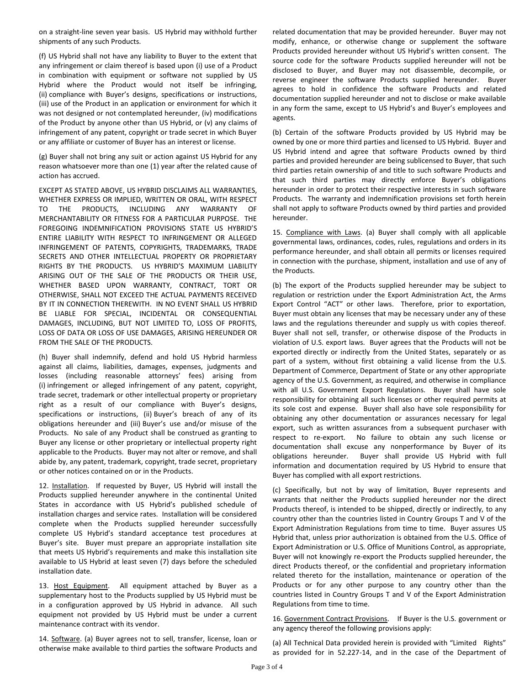on a straight-line seven year basis. US Hybrid may withhold further shipments of any such Products.

(f) US Hybrid shall not have any liability to Buyer to the extent that any infringement or claim thereof is based upon (i) use of a Product in combination with equipment or software not supplied by US Hybrid where the Product would not itself be infringing, (ii) compliance with Buyer's designs, specifications or instructions, (iii) use of the Product in an application or environment for which it was not designed or not contemplated hereunder, (iv) modifications of the Product by anyone other than US Hybrid, or (v) any claims of infringement of any patent, copyright or trade secret in which Buyer or any affiliate or customer of Buyer has an interest or license.

(g) Buyer shall not bring any suit or action against US Hybrid for any reason whatsoever more than one (1) year after the related cause of action has accrued.

EXCEPT AS STATED ABOVE, US HYBRID DISCLAIMS ALL WARRANTIES, WHETHER EXPRESS OR IMPLIED, WRITTEN OR ORAL, WITH RESPECT TO THE PRODUCTS, INCLUDING ANY WARRANTY OF MERCHANTABILITY OR FITNESS FOR A PARTICULAR PURPOSE. THE FOREGOING INDEMNIFICATION PROVISIONS STATE US HYBRID'S ENTIRE LIABILITY WITH RESPECT TO INFRINGEMENT OR ALLEGED INFRINGEMENT OF PATENTS, COPYRIGHTS, TRADEMARKS, TRADE SECRETS AND OTHER INTELLECTUAL PROPERTY OR PROPRIETARY RIGHTS BY THE PRODUCTS. US HYBRID'S MAXIMUM LIABILITY ARISING OUT OF THE SALE OF THE PRODUCTS OR THEIR USE, WHETHER BASED UPON WARRANTY, CONTRACT, TORT OR OTHERWISE, SHALL NOT EXCEED THE ACTUAL PAYMENTS RECEIVED BY IT IN CONNECTION THEREWITH. IN NO EVENT SHALL US HYBRID BE LIABLE FOR SPECIAL, INCIDENTAL OR CONSEQUENTIAL DAMAGES, INCLUDING, BUT NOT LIMITED TO, LOSS OF PROFITS, LOSS OF DATA OR LOSS OF USE DAMAGES, ARISING HEREUNDER OR FROM THE SALE OF THE PRODUCTS.

(h) Buyer shall indemnify, defend and hold US Hybrid harmless against all claims, liabilities, damages, expenses, judgments and losses (including reasonable attorneys' fees) arising from (i) infringement or alleged infringement of any patent, copyright, trade secret, trademark or other intellectual property or proprietary right as a result of our compliance with Buyer's designs, specifications or instructions, (ii) Buyer's breach of any of its obligations hereunder and (iii) Buyer's use and/or misuse of the Products. No sale of any Product shall be construed as granting to Buyer any license or other proprietary or intellectual property right applicable to the Products. Buyer may not alter or remove, and shall abide by, any patent, trademark, copyright, trade secret, proprietary or other notices contained on or in the Products.

12. Installation. If requested by Buyer, US Hybrid will install the Products supplied hereunder anywhere in the continental United States in accordance with US Hybrid's published schedule of installation charges and service rates. Installation will be considered complete when the Products supplied hereunder successfully complete US Hybrid's standard acceptance test procedures at Buyer's site. Buyer must prepare an appropriate installation site that meets US Hybrid's requirements and make this installation site available to US Hybrid at least seven (7) days before the scheduled installation date.

13. Host Equipment. All equipment attached by Buyer as a supplementary host to the Products supplied by US Hybrid must be in a configuration approved by US Hybrid in advance. All such equipment not provided by US Hybrid must be under a current maintenance contract with its vendor.

14. Software. (a) Buyer agrees not to sell, transfer, license, loan or otherwise make available to third parties the software Products and related documentation that may be provided hereunder. Buyer may not modify, enhance, or otherwise change or supplement the software Products provided hereunder without US Hybrid's written consent. The source code for the software Products supplied hereunder will not be disclosed to Buyer, and Buyer may not disassemble, decompile, or reverse engineer the software Products supplied hereunder. Buyer agrees to hold in confidence the software Products and related documentation supplied hereunder and not to disclose or make available in any form the same, except to US Hybrid's and Buyer's employees and agents.

(b) Certain of the software Products provided by US Hybrid may be owned by one or more third parties and licensed to US Hybrid. Buyer and US Hybrid intend and agree that software Products owned by third parties and provided hereunder are being sublicensed to Buyer, that such third parties retain ownership of and title to such software Products and that such third parties may directly enforce Buyer's obligations hereunder in order to protect their respective interests in such software Products. The warranty and indemnification provisions set forth herein shall not apply to software Products owned by third parties and provided hereunder.

15. Compliance with Laws. (a) Buyer shall comply with all applicable governmental laws, ordinances, codes, rules, regulations and orders in its performance hereunder, and shall obtain all permits or licenses required in connection with the purchase, shipment, installation and use of any of the Products.

(b) The export of the Products supplied hereunder may be subject to regulation or restriction under the Export Administration Act, the Arms Export Control "ACT" or other laws. Therefore, prior to exportation, Buyer must obtain any licenses that may be necessary under any of these laws and the regulations thereunder and supply us with copies thereof. Buyer shall not sell, transfer, or otherwise dispose of the Products in violation of U.S. export laws. Buyer agrees that the Products will not be exported directly or indirectly from the United States, separately or as part of a system, without first obtaining a valid license from the U.S. Department of Commerce, Department of State or any other appropriate agency of the U.S. Government, as required, and otherwise in compliance with all U.S. Government Export Regulations. Buyer shall have sole responsibility for obtaining all such licenses or other required permits at its sole cost and expense. Buyer shall also have sole responsibility for obtaining any other documentation or assurances necessary for legal export, such as written assurances from a subsequent purchaser with respect to re-export. No failure to obtain any such license or documentation shall excuse any nonperformance by Buyer of its obligations hereunder. Buyer shall provide US Hybrid with full information and documentation required by US Hybrid to ensure that Buyer has complied with all export restrictions.

(c) Specifically, but not by way of limitation, Buyer represents and warrants that neither the Products supplied hereunder nor the direct Products thereof, is intended to be shipped, directly or indirectly, to any country other than the countries listed in Country Groups T and V of the Export Administration Regulations from time to time. Buyer assures US Hybrid that, unless prior authorization is obtained from the U.S. Office of Export Administration or U.S. Office of Munitions Control, as appropriate, Buyer will not knowingly re-export the Products supplied hereunder, the direct Products thereof, or the confidential and proprietary information related thereto for the installation, maintenance or operation of the Products or for any other purpose to any country other than the countries listed in Country Groups T and V of the Export Administration Regulations from time to time.

16. Government Contract Provisions. If Buyer is the U.S. government or any agency thereof the following provisions apply:

(a) All Technical Data provided herein is provided with "Limited Rights" as provided for in 52.227-14, and in the case of the Department of